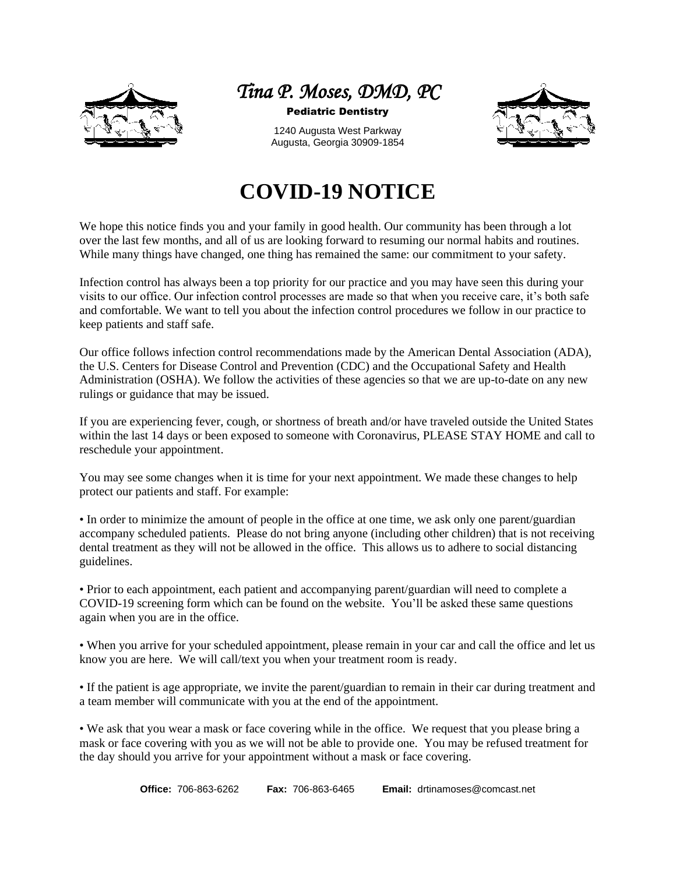



Pediatric Dentistry

1240 Augusta West Parkway Augusta, Georgia 30909-1854



## **COVID-19 NOTICE**

We hope this notice finds you and your family in good health. Our community has been through a lot over the last few months, and all of us are looking forward to resuming our normal habits and routines. While many things have changed, one thing has remained the same: our commitment to your safety.

Infection control has always been a top priority for our practice and you may have seen this during your visits to our office. Our infection control processes are made so that when you receive care, it's both safe and comfortable. We want to tell you about the infection control procedures we follow in our practice to keep patients and staff safe.

Our office follows infection control recommendations made by the American Dental Association (ADA), the U.S. Centers for Disease Control and Prevention (CDC) and the Occupational Safety and Health Administration (OSHA). We follow the activities of these agencies so that we are up-to-date on any new rulings or guidance that may be issued.

If you are experiencing fever, cough, or shortness of breath and/or have traveled outside the United States within the last 14 days or been exposed to someone with Coronavirus, PLEASE STAY HOME and call to reschedule your appointment.

You may see some changes when it is time for your next appointment. We made these changes to help protect our patients and staff. For example:

• In order to minimize the amount of people in the office at one time, we ask only one parent/guardian accompany scheduled patients. Please do not bring anyone (including other children) that is not receiving dental treatment as they will not be allowed in the office. This allows us to adhere to social distancing guidelines.

• Prior to each appointment, each patient and accompanying parent/guardian will need to complete a COVID-19 screening form which can be found on the website. You'll be asked these same questions again when you are in the office.

• When you arrive for your scheduled appointment, please remain in your car and call the office and let us know you are here. We will call/text you when your treatment room is ready.

• If the patient is age appropriate, we invite the parent/guardian to remain in their car during treatment and a team member will communicate with you at the end of the appointment.

• We ask that you wear a mask or face covering while in the office. We request that you please bring a mask or face covering with you as we will not be able to provide one. You may be refused treatment for the day should you arrive for your appointment without a mask or face covering.